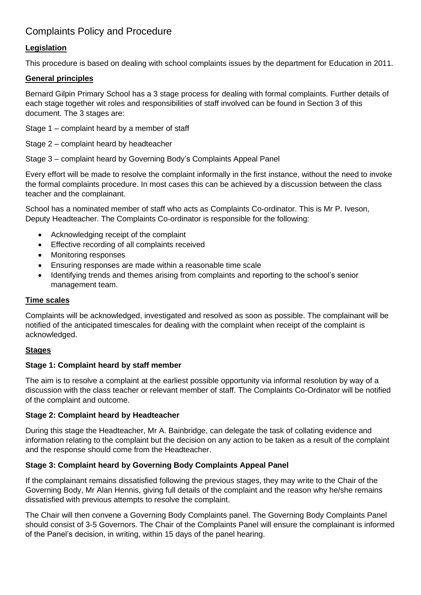# Complaints Policy and Procedure

## **Legislation**

This procedure is based on dealing with school complaints issues by the department for Education in 2011.

### **General principles**

Bernard Gilpin Primary School has a 3 stage process for dealing with formal complaints. Further details of each stage together wit roles and responsibilities of staff involved can be found in Section 3 of this document. The 3 stages are:

Stage 1 – complaint heard by a member of staff

Stage 2 – complaint heard by headteacher

Stage 3 – complaint heard by Governing Body's Complaints Appeal Panel

Every effort will be made to resolve the complaint informally in the first instance, without the need to invoke the formal complaints procedure. In most cases this can be achieved by a discussion between the class teacher and the complainant.

School has a nominated member of staff who acts as Complaints Co-ordinator. This is Mr P. Iveson, Deputy Headteacher. The Complaints Co-ordinator is responsible for the following:

- Acknowledging receipt of the complaint
- Effective recording of all complaints received
- Monitoring responses
- Ensuring responses are made within a reasonable time scale
- Identifying trends and themes arising from complaints and reporting to the school's senior management team.

#### **Time scales**

Complaints will be acknowledged, investigated and resolved as soon as possible. The complainant will be notified of the anticipated timescales for dealing with the complaint when receipt of the complaint is acknowledged.

#### **Stages**

#### **Stage 1: Complaint heard by staff member**

The aim is to resolve a complaint at the earliest possible opportunity via informal resolution by way of a discussion with the class teacher or relevant member of staff. The Complaints Co-Ordinator will be notified of the complaint and outcome.

#### **Stage 2: Complaint heard by Headteacher**

During this stage the Headteacher, Mr A. Bainbridge, can delegate the task of collating evidence and information relating to the complaint but the decision on any action to be taken as a result of the complaint and the response should come from the Headteacher.

#### **Stage 3: Complaint heard by Governing Body Complaints Appeal Panel**

If the complainant remains dissatisfied following the previous stages, they may write to the Chair of the Governing Body, Mr Alan Hennis, giving full details of the complaint and the reason why he/she remains dissatisfied with previous attempts to resolve the complaint.

The Chair will then convene a Governing Body Complaints panel. The Governing Body Complaints Panel should consist of 3-5 Governors. The Chair of the Complaints Panel will ensure the complainant is informed of the Panel's decision, in writing, within 15 days of the panel hearing.